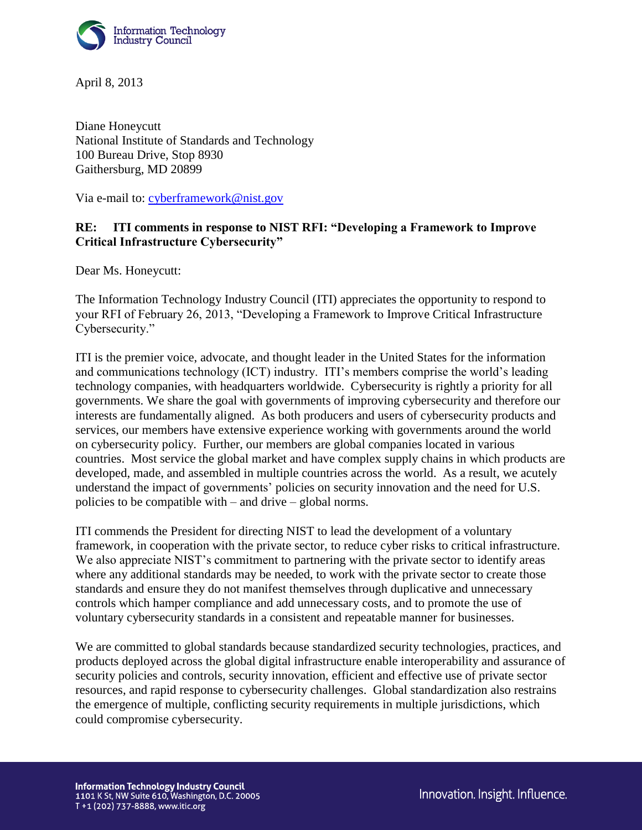

April 8, 2013

Diane Honeycutt National Institute of Standards and Technology 100 Bureau Drive, Stop 8930 Gaithersburg, MD 20899

Via e-mail to: [cyberframework@nist.gov](mailto:cyberframework@nist.gov)

# **RE: ITI comments in response to NIST RFI: "Developing a Framework to Improve Critical Infrastructure Cybersecurity"**

Dear Ms. Honeycutt:

The Information Technology Industry Council (ITI) appreciates the opportunity to respond to your RFI of February 26, 2013, "Developing a Framework to Improve Critical Infrastructure Cybersecurity."

ITI is the premier voice, advocate, and thought leader in the United States for the information and communications technology (ICT) industry. ITI's members comprise the world's leading technology companies, with headquarters worldwide. Cybersecurity is rightly a priority for all governments. We share the goal with governments of improving cybersecurity and therefore our interests are fundamentally aligned. As both producers and users of cybersecurity products and services, our members have extensive experience working with governments around the world on cybersecurity policy. Further, our members are global companies located in various countries. Most service the global market and have complex supply chains in which products are developed, made, and assembled in multiple countries across the world. As a result, we acutely understand the impact of governments' policies on security innovation and the need for U.S. policies to be compatible with – and drive – global norms.

ITI commends the President for directing NIST to lead the development of a voluntary framework, in cooperation with the private sector, to reduce cyber risks to critical infrastructure. We also appreciate NIST's commitment to partnering with the private sector to identify areas where any additional standards may be needed, to work with the private sector to create those standards and ensure they do not manifest themselves through duplicative and unnecessary controls which hamper compliance and add unnecessary costs, and to promote the use of voluntary cybersecurity standards in a consistent and repeatable manner for businesses.

We are committed to global standards because standardized security technologies, practices, and products deployed across the global digital infrastructure enable interoperability and assurance of security policies and controls, security innovation, efficient and effective use of private sector resources, and rapid response to cybersecurity challenges. Global standardization also restrains the emergence of multiple, conflicting security requirements in multiple jurisdictions, which could compromise cybersecurity.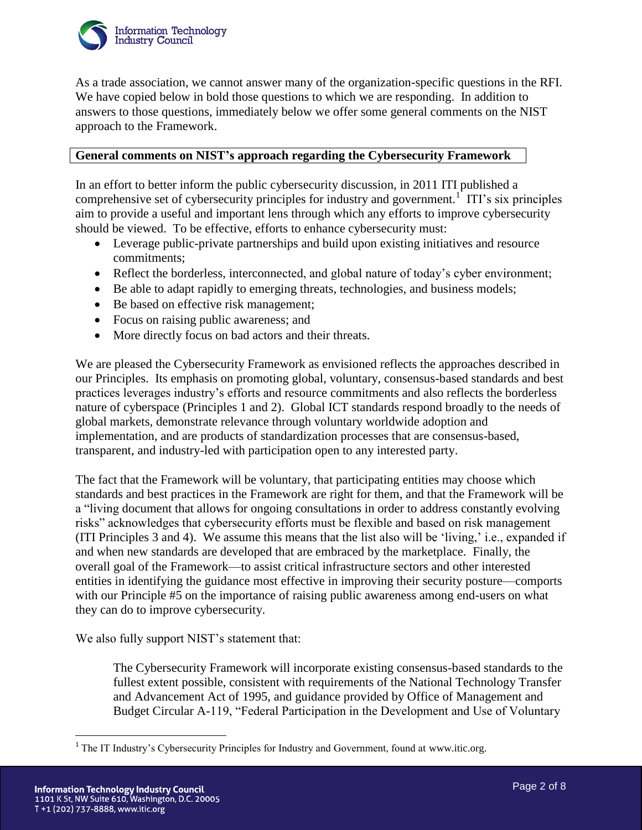

As a trade association, we cannot answer many of the organization-specific questions in the RFI. We have copied below in bold those questions to which we are responding. In addition to answers to those questions, immediately below we offer some general comments on the NIST approach to the Framework.

### **General comments on NIST's approach regarding the Cybersecurity Framework**

In an effort to better inform the public cybersecurity discussion, in 2011 ITI published a comprehensive set of cybersecurity principles for industry and government.<sup>1</sup> ITI's six principles aim to provide a useful and important lens through which any efforts to improve cybersecurity should be viewed. To be effective, efforts to enhance cybersecurity must:

- Leverage public-private partnerships and build upon existing initiatives and resource commitments;
- Reflect the borderless, interconnected, and global nature of today's cyber environment;
- Be able to adapt rapidly to emerging threats, technologies, and business models;
- Be based on effective risk management;
- Focus on raising public awareness; and
- More directly focus on bad actors and their threats.

We are pleased the Cybersecurity Framework as envisioned reflects the approaches described in our Principles. Its emphasis on promoting global, voluntary, consensus-based standards and best practices leverages industry's efforts and resource commitments and also reflects the borderless nature of cyberspace (Principles 1 and 2). Global ICT standards respond broadly to the needs of global markets, demonstrate relevance through voluntary worldwide adoption and implementation, and are products of standardization processes that are consensus-based, transparent, and industry-led with participation open to any interested party.

The fact that the Framework will be voluntary, that participating entities may choose which standards and best practices in the Framework are right for them, and that the Framework will be a "living document that allows for ongoing consultations in order to address constantly evolving risks" acknowledges that cybersecurity efforts must be flexible and based on risk management (ITI Principles 3 and 4). We assume this means that the list also will be 'living,' i.e., expanded if and when new standards are developed that are embraced by the marketplace. Finally, the overall goal of the Framework—to assist critical infrastructure sectors and other interested entities in identifying the guidance most effective in improving their security posture—comports with our Principle #5 on the importance of raising public awareness among end-users on what they can do to improve cybersecurity.

We also fully support NIST's statement that:

The Cybersecurity Framework will incorporate existing consensus-based standards to the fullest extent possible, consistent with requirements of the National Technology Transfer and Advancement Act of 1995, and guidance provided by Office of Management and Budget Circular A-119, "Federal Participation in the Development and Use of Voluntary

 $\overline{a}$ 

<sup>&</sup>lt;sup>1</sup> The IT Industry's Cybersecurity Principles for Industry and Government, found at www.itic.org.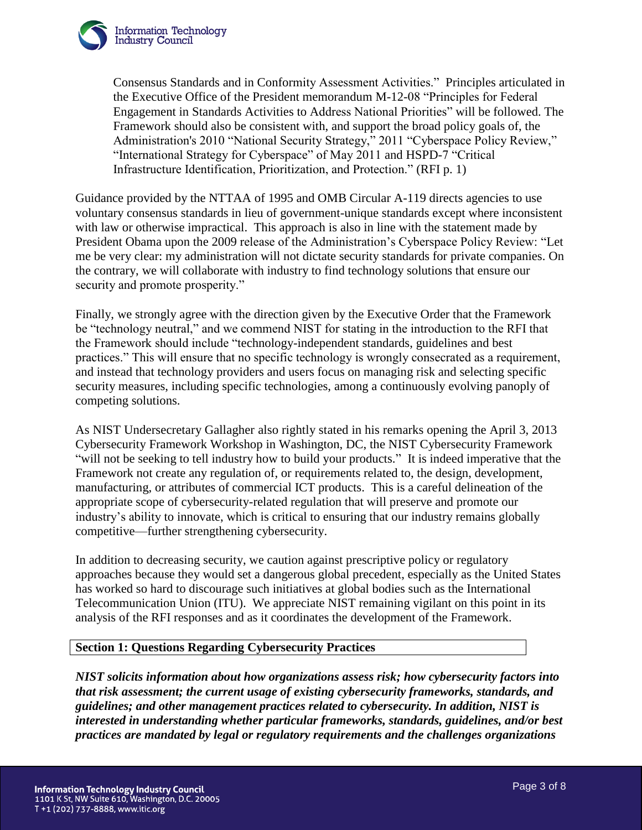

Consensus Standards and in Conformity Assessment Activities." Principles articulated in the Executive Office of the President memorandum M-12-08 "Principles for Federal Engagement in Standards Activities to Address National Priorities" will be followed. The Framework should also be consistent with, and support the broad policy goals of, the Administration's 2010 "National Security Strategy," 2011 "Cyberspace Policy Review," "International Strategy for Cyberspace" of May 2011 and HSPD-7 "Critical Infrastructure Identification, Prioritization, and Protection." (RFI p. 1)

Guidance provided by the NTTAA of 1995 and OMB Circular A-119 directs agencies to use voluntary consensus standards in lieu of government-unique standards except where inconsistent with law or otherwise impractical. This approach is also in line with the statement made by President Obama upon the 2009 release of the Administration's Cyberspace Policy Review: "Let me be very clear: my administration will not dictate security standards for private companies. On the contrary, we will collaborate with industry to find technology solutions that ensure our security and promote prosperity."

Finally, we strongly agree with the direction given by the Executive Order that the Framework be "technology neutral," and we commend NIST for stating in the introduction to the RFI that the Framework should include "technology-independent standards, guidelines and best practices." This will ensure that no specific technology is wrongly consecrated as a requirement, and instead that technology providers and users focus on managing risk and selecting specific security measures, including specific technologies, among a continuously evolving panoply of competing solutions.

As NIST Undersecretary Gallagher also rightly stated in his remarks opening the April 3, 2013 Cybersecurity Framework Workshop in Washington, DC, the NIST Cybersecurity Framework "will not be seeking to tell industry how to build your products." It is indeed imperative that the Framework not create any regulation of, or requirements related to, the design, development, manufacturing, or attributes of commercial ICT products. This is a careful delineation of the appropriate scope of cybersecurity-related regulation that will preserve and promote our industry's ability to innovate, which is critical to ensuring that our industry remains globally competitive—further strengthening cybersecurity.

In addition to decreasing security, we caution against prescriptive policy or regulatory approaches because they would set a dangerous global precedent, especially as the United States has worked so hard to discourage such initiatives at global bodies such as the International Telecommunication Union (ITU). We appreciate NIST remaining vigilant on this point in its analysis of the RFI responses and as it coordinates the development of the Framework.

### **Section 1: Questions Regarding Cybersecurity Practices**

*NIST solicits information about how organizations assess risk; how cybersecurity factors into that risk assessment; the current usage of existing cybersecurity frameworks, standards, and guidelines; and other management practices related to cybersecurity. In addition, NIST is interested in understanding whether particular frameworks, standards, guidelines, and/or best practices are mandated by legal or regulatory requirements and the challenges organizations*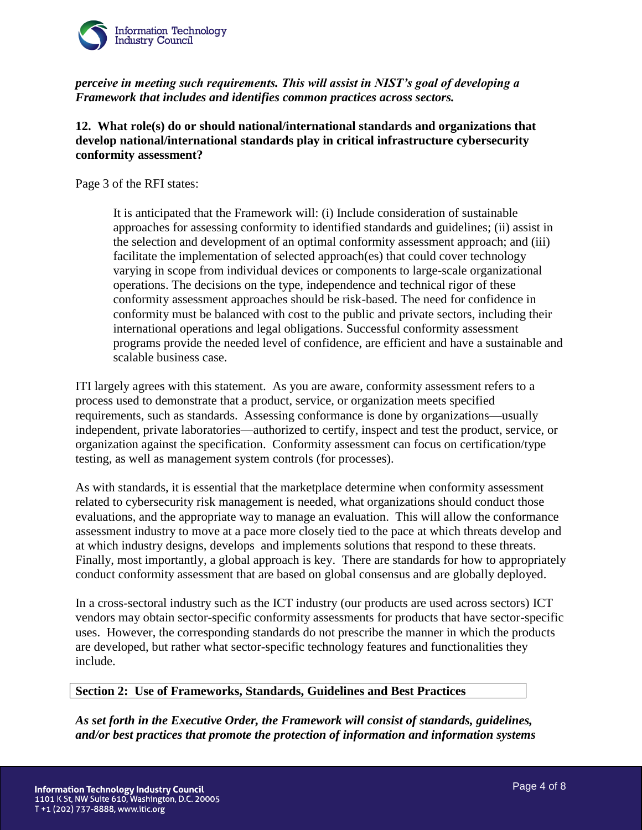

*perceive in meeting such requirements. This will assist in NIST's goal of developing a Framework that includes and identifies common practices across sectors.* 

## **12. What role(s) do or should national/international standards and organizations that develop national/international standards play in critical infrastructure cybersecurity conformity assessment?**

Page 3 of the RFI states:

It is anticipated that the Framework will: (i) Include consideration of sustainable approaches for assessing conformity to identified standards and guidelines; (ii) assist in the selection and development of an optimal conformity assessment approach; and (iii) facilitate the implementation of selected approach(es) that could cover technology varying in scope from individual devices or components to large-scale organizational operations. The decisions on the type, independence and technical rigor of these conformity assessment approaches should be risk-based. The need for confidence in conformity must be balanced with cost to the public and private sectors, including their international operations and legal obligations. Successful conformity assessment programs provide the needed level of confidence, are efficient and have a sustainable and scalable business case.

ITI largely agrees with this statement. As you are aware, conformity assessment refers to a process used to demonstrate that a product, service, or organization meets specified requirements, such as standards. Assessing conformance is done by organizations—usually independent, private laboratories—authorized to certify, inspect and test the product, service, or organization against the specification. Conformity assessment can focus on certification/type testing, as well as management system controls (for processes).

As with standards, it is essential that the marketplace determine when conformity assessment related to cybersecurity risk management is needed, what organizations should conduct those evaluations, and the appropriate way to manage an evaluation. This will allow the conformance assessment industry to move at a pace more closely tied to the pace at which threats develop and at which industry designs, develops and implements solutions that respond to these threats. Finally, most importantly, a global approach is key. There are standards for how to appropriately conduct conformity assessment that are based on global consensus and are globally deployed.

In a cross-sectoral industry such as the ICT industry (our products are used across sectors) ICT vendors may obtain sector-specific conformity assessments for products that have sector-specific uses. However, the corresponding standards do not prescribe the manner in which the products are developed, but rather what sector-specific technology features and functionalities they include.

#### **Section 2: Use of Frameworks, Standards, Guidelines and Best Practices**

*As set forth in the Executive Order, the Framework will consist of standards, guidelines, and/or best practices that promote the protection of information and information systems*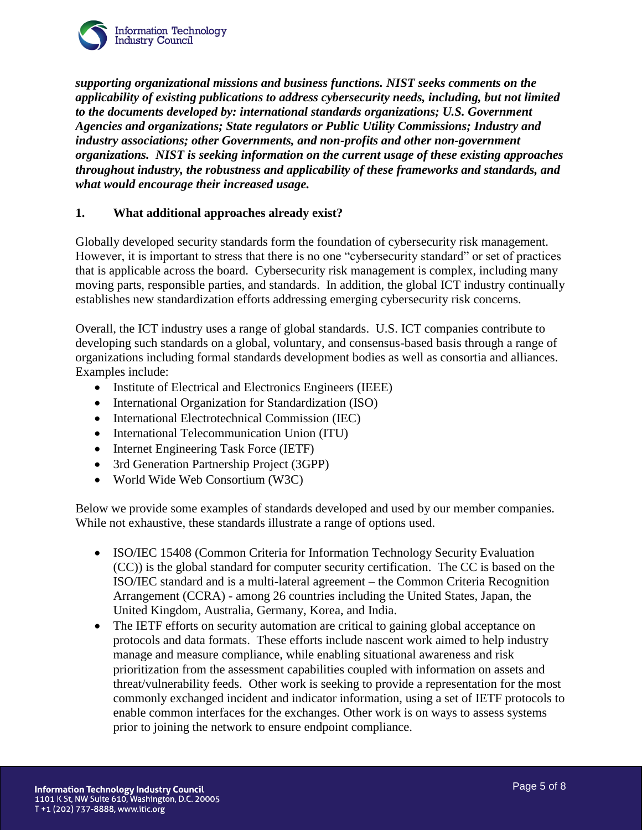

*supporting organizational missions and business functions. NIST seeks comments on the applicability of existing publications to address cybersecurity needs, including, but not limited to the documents developed by: international standards organizations; U.S. Government Agencies and organizations; State regulators or Public Utility Commissions; Industry and industry associations; other Governments, and non-profits and other non-government organizations. NIST is seeking information on the current usage of these existing approaches throughout industry, the robustness and applicability of these frameworks and standards, and what would encourage their increased usage.* 

## **1. What additional approaches already exist?**

Globally developed security standards form the foundation of cybersecurity risk management. However, it is important to stress that there is no one "cybersecurity standard" or set of practices that is applicable across the board. Cybersecurity risk management is complex, including many moving parts, responsible parties, and standards. In addition, the global ICT industry continually establishes new standardization efforts addressing emerging cybersecurity risk concerns.

Overall, the ICT industry uses a range of global standards. U.S. ICT companies contribute to developing such standards on a global, voluntary, and consensus-based basis through a range of organizations including formal standards development bodies as well as consortia and alliances. Examples include:

- Institute of Electrical and Electronics Engineers (IEEE)
- International Organization for Standardization (ISO)
- International Electrotechnical Commission (IEC)
- International Telecommunication Union (ITU)
- Internet Engineering Task Force (IETF)
- 3rd Generation Partnership Project (3GPP)
- World Wide Web Consortium (W3C)

Below we provide some examples of standards developed and used by our member companies. While not exhaustive, these standards illustrate a range of options used.

- ISO/IEC 15408 (Common Criteria for Information Technology Security Evaluation (CC)) is the global standard for computer security certification. The CC is based on the ISO/IEC standard and is a multi-lateral agreement – the Common Criteria Recognition Arrangement (CCRA) - among 26 countries including the United States, Japan, the United Kingdom, Australia, Germany, Korea, and India.
- The IETF efforts on security automation are critical to gaining global acceptance on protocols and data formats. These efforts include nascent work aimed to help industry manage and measure compliance, while enabling situational awareness and risk prioritization from the assessment capabilities coupled with information on assets and threat/vulnerability feeds. Other work is seeking to provide a representation for the most commonly exchanged incident and indicator information, using a set of IETF protocols to enable common interfaces for the exchanges. Other work is on ways to assess systems prior to joining the network to ensure endpoint compliance.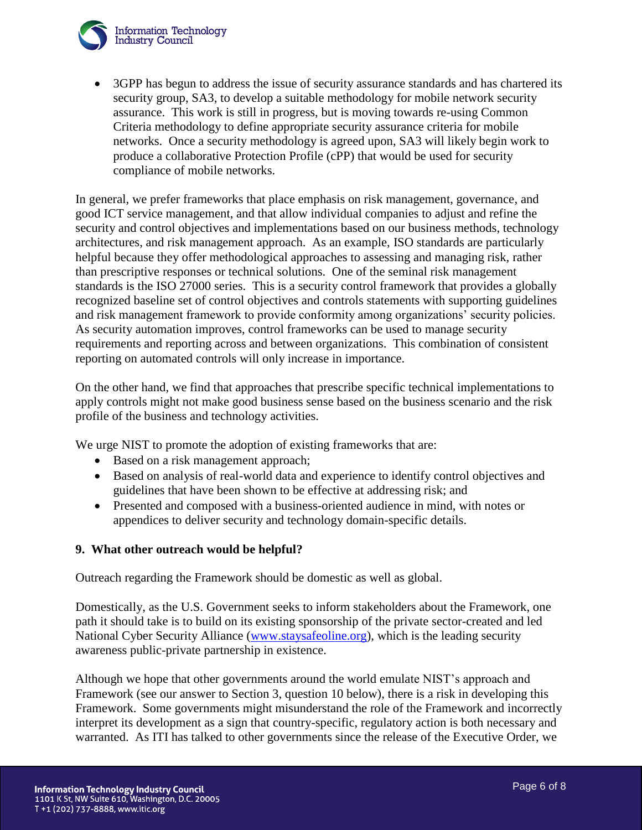

 3GPP has begun to address the issue of security assurance standards and has chartered its security group, SA3, to develop a suitable methodology for mobile network security assurance. This work is still in progress, but is moving towards re-using Common Criteria methodology to define appropriate security assurance criteria for mobile networks. Once a security methodology is agreed upon, SA3 will likely begin work to produce a collaborative Protection Profile (cPP) that would be used for security compliance of mobile networks.

In general, we prefer frameworks that place emphasis on risk management, governance, and good ICT service management, and that allow individual companies to adjust and refine the security and control objectives and implementations based on our business methods, technology architectures, and risk management approach. As an example, ISO standards are particularly helpful because they offer methodological approaches to assessing and managing risk, rather than prescriptive responses or technical solutions. One of the seminal risk management standards is the ISO 27000 series. This is a security control framework that provides a globally recognized baseline set of control objectives and controls statements with supporting guidelines and risk management framework to provide conformity among organizations' security policies. As security automation improves, control frameworks can be used to manage security requirements and reporting across and between organizations. This combination of consistent reporting on automated controls will only increase in importance.

On the other hand, we find that approaches that prescribe specific technical implementations to apply controls might not make good business sense based on the business scenario and the risk profile of the business and technology activities.

We urge NIST to promote the adoption of existing frameworks that are:

- Based on a risk management approach;
- Based on analysis of real-world data and experience to identify control objectives and guidelines that have been shown to be effective at addressing risk; and
- Presented and composed with a business-oriented audience in mind, with notes or appendices to deliver security and technology domain-specific details.

### **9. What other outreach would be helpful?**

Outreach regarding the Framework should be domestic as well as global.

Domestically, as the U.S. Government seeks to inform stakeholders about the Framework, one path it should take is to build on its existing sponsorship of the private sector-created and led National Cyber Security Alliance [\(www.staysafeoline.org\)](http://www.staysafeoline.org/), which is the leading security awareness public-private partnership in existence.

Although we hope that other governments around the world emulate NIST's approach and Framework (see our answer to Section 3, question 10 below), there is a risk in developing this Framework. Some governments might misunderstand the role of the Framework and incorrectly interpret its development as a sign that country-specific, regulatory action is both necessary and warranted. As ITI has talked to other governments since the release of the Executive Order, we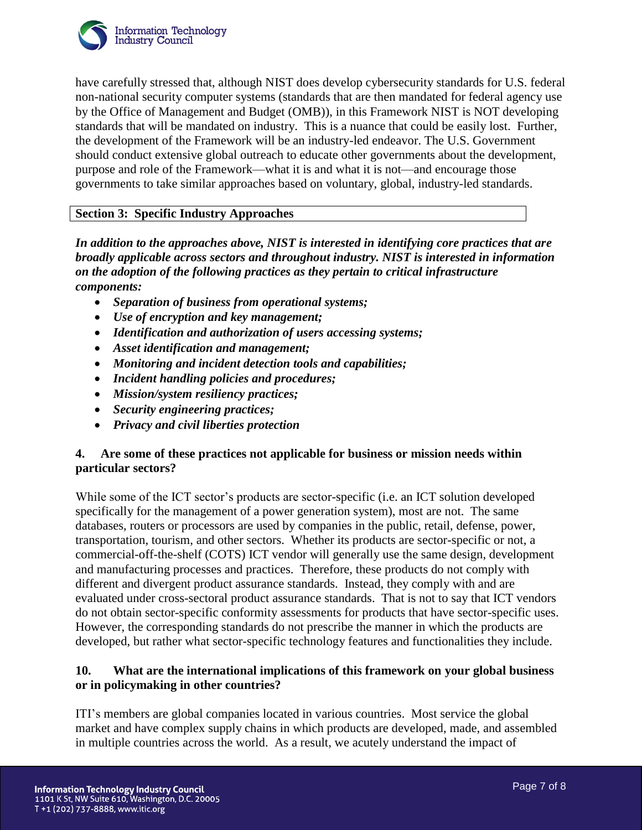

have carefully stressed that, although NIST does develop cybersecurity standards for U.S. federal non-national security computer systems (standards that are then mandated for federal agency use by the Office of Management and Budget (OMB)), in this Framework NIST is NOT developing standards that will be mandated on industry. This is a nuance that could be easily lost. Further, the development of the Framework will be an industry-led endeavor. The U.S. Government should conduct extensive global outreach to educate other governments about the development, purpose and role of the Framework—what it is and what it is not—and encourage those governments to take similar approaches based on voluntary, global, industry-led standards.

## **Section 3: Specific Industry Approaches**

*In addition to the approaches above, NIST is interested in identifying core practices that are broadly applicable across sectors and throughout industry. NIST is interested in information on the adoption of the following practices as they pertain to critical infrastructure components:* 

- *Separation of business from operational systems;*
- *Use of encryption and key management;*
- *Identification and authorization of users accessing systems;*
- *Asset identification and management;*
- *Monitoring and incident detection tools and capabilities;*
- *Incident handling policies and procedures;*
- *Mission/system resiliency practices;*
- *Security engineering practices;*
- *Privacy and civil liberties protection*

## **4. Are some of these practices not applicable for business or mission needs within particular sectors?**

While some of the ICT sector's products are sector-specific (i.e. an ICT solution developed specifically for the management of a power generation system), most are not. The same databases, routers or processors are used by companies in the public, retail, defense, power, transportation, tourism, and other sectors. Whether its products are sector-specific or not, a commercial-off-the-shelf (COTS) ICT vendor will generally use the same design, development and manufacturing processes and practices. Therefore, these products do not comply with different and divergent product assurance standards. Instead, they comply with and are evaluated under cross-sectoral product assurance standards. That is not to say that ICT vendors do not obtain sector-specific conformity assessments for products that have sector-specific uses. However, the corresponding standards do not prescribe the manner in which the products are developed, but rather what sector-specific technology features and functionalities they include.

## **10. What are the international implications of this framework on your global business or in policymaking in other countries?**

ITI's members are global companies located in various countries. Most service the global market and have complex supply chains in which products are developed, made, and assembled in multiple countries across the world. As a result, we acutely understand the impact of